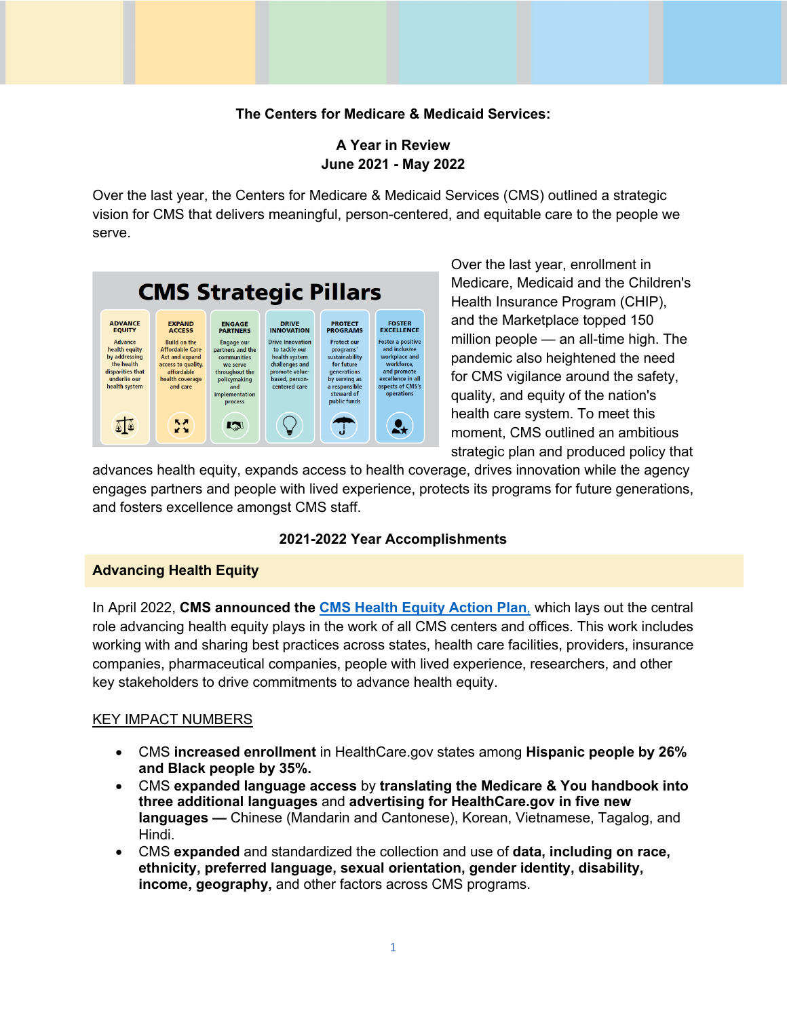# **The Centers for Medicare & Medicaid Services:**

## **A Year in Review A Year in Review June 2021 - May 2022**

 Over the last year, the Centers for Medicare & Medicaid Services (CMS) outlined a strategic vision for CMS that delivers meaningful, person-centered, and equitable care to the people we serve.



 Over the last year, enrollment in Medicare, Medicaid and the Children's Health Insurance Program (CHIP), million people — an all-time high. The health care system. To meet this moment, CMS outlined an ambitious and the Marketplace topped 150 pandemic also heightened the need for CMS vigilance around the safety, quality, and equity of the nation's strategic plan and produced policy that

 and fosters excellence amongst CMS staff. advances health equity, expands access to health coverage, drives innovation while the agency engages partners and people with lived experience, protects its programs for future generations,

#### **2021-2022 Year Accomplishments**

## **Advancing Health Equity**

 In April 2022, **CMS announced the [CMS Health Equity Action Plan](https://www.cms.gov/newsroom/press-releases/cms-outlines-strategy-advance-health-equity-challenges-industry-leaders-address-systemic-inequities)**, which lays out the central working with and sharing best practices across states, health care facilities, providers, insurance companies, pharmaceutical companies, people with lived experience, researchers, and other role advancing health equity plays in the work of all CMS centers and offices. This work includes key stakeholders to drive commitments to advance health equity.

## KEY IMPACT NUMBERS

- CMS **increased enrollment** in [HealthCare.gov](https://HealthCare.gov) states among **Hispanic people by 26% and Black people by 35%.**
- CMS **expanded language access** by **translating the Medicare & You handbook into three additional languages** and **advertising for [HealthCare.gov](https://HealthCare.gov) in five new languages —** Chinese (Mandarin and Cantonese), Korean, Vietnamese, Tagalog, and Hindi.
- CMS **expanded** and standardized the collection and use of **data, including on race, ethnicity, preferred language, sexual orientation, gender identity, disability, income, geography,** and other factors across CMS programs.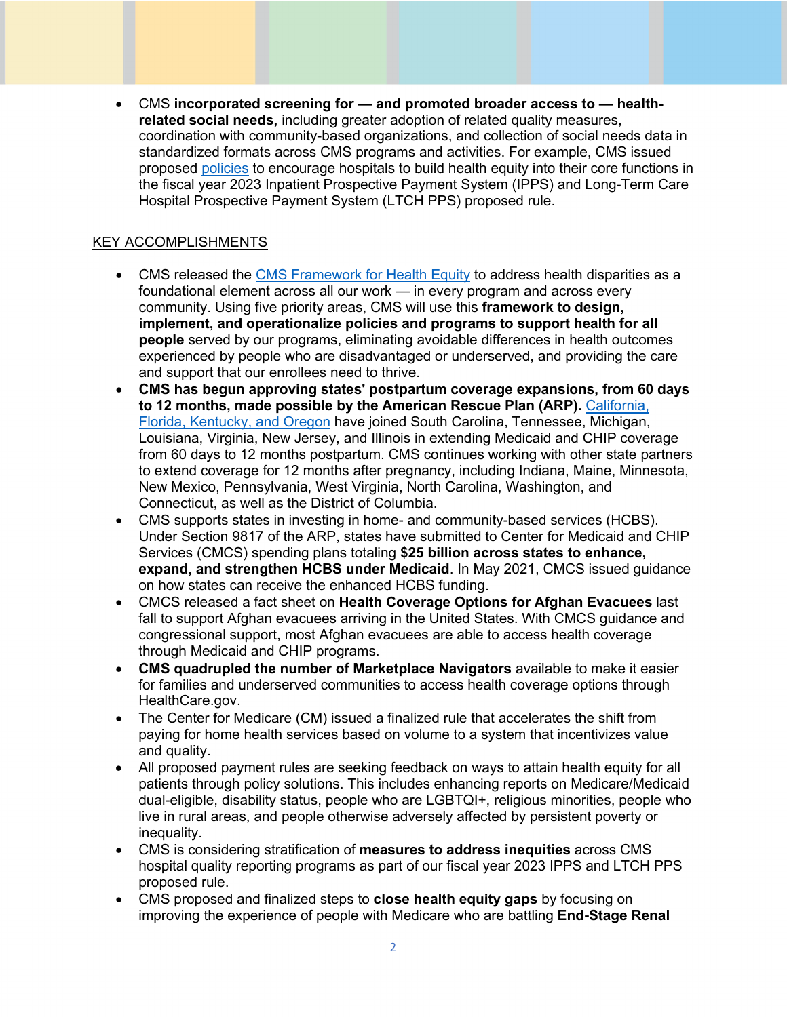• CMS **incorporated screening for — and promoted broader access to — healthrelated social needs,** including greater adoption of related quality measures, coordination with community-based organizations, and collection of social needs data in standardized formats across CMS programs and activities. For example, CMS issued proposed [policies](https://www.cms.gov/newsroom/press-releases/cms-proposes-policies-advance-health-equity-and-maternal-health-support-hospitals) to encourage hospitals to build health equity into their core functions in the fiscal year 2023 Inpatient Prospective Payment System (IPPS) and Long-Term Care Hospital Prospective Payment System (LTCH PPS) proposed rule.

- CMS released the [CMS Framework for Health Equity t](https://www.cms.gov/files/document/cms-framework-health-equity.pdf)o address health disparities as a foundational element across all our work — in every program and across every community. Using five priority areas, CMS will use this **framework to design, implement, and operationalize policies and programs to support health for all people** served by our programs, eliminating avoidable differences in health outcomes experienced by people who are disadvantaged or underserved, and providing the care and support that our enrollees need to thrive.
- **CMS has begun approving states' postpartum coverage expansions, from 60 days to 12 months, made possible by the American Rescue Plan (ARP).** [California,](https://www.cms.gov/newsroom/press-releases/hhs-applauds-12-month-postpartum-expansion-california-florida-kentucky-and-oregon) [Florida, Kentucky, and Oregon](https://www.cms.gov/newsroom/press-releases/hhs-applauds-12-month-postpartum-expansion-california-florida-kentucky-and-oregon) have joined South Carolina, Tennessee, Michigan, Louisiana, Virginia, New Jersey, and Illinois in extending Medicaid and CHIP coverage from 60 days to 12 months postpartum. CMS continues working with other state partners to extend coverage for 12 months after pregnancy, including Indiana, Maine, Minnesota, New Mexico, Pennsylvania, West Virginia, North Carolina, Washington, and Connecticut, as well as the District of Columbia.
- CMS supports states in investing in home- and community-based services (HCBS). Under Section 9817 of the ARP, states have submitted to Center for Medicaid and CHIP Services (CMCS) spending plans totaling **\$25 billion across states to enhance, expand, and strengthen HCBS under Medicaid**. In May 2021, CMCS issued guidance on how states can receive the enhanced HCBS funding.
- CMCS released a fact sheet on **Health Coverage Options for Afghan Evacuees** last fall to support Afghan evacuees arriving in the United States. With CMCS guidance and congressional support, most Afghan evacuees are able to access health coverage through Medicaid and CHIP programs.
- **CMS quadrupled the number of Marketplace Navigators** available to make it easier for families and underserved communities to access health coverage options through [HealthCare.gov](https://HealthCare.gov).
- The Center for Medicare (CM) issued a finalized rule that accelerates the shift from paying for home health services based on volume to a system that incentivizes value and quality.
- All proposed payment rules are seeking feedback on ways to attain health equity for all patients through policy solutions. This includes enhancing reports on Medicare/Medicaid dual-eligible, disability status, people who are LGBTQI+, religious minorities, people who live in rural areas, and people otherwise adversely affected by persistent poverty or inequality.
- CMS is considering stratification of **measures to address inequities** across CMS hospital quality reporting programs as part of our fiscal year 2023 IPPS and LTCH PPS proposed rule.
- CMS proposed and finalized steps to **close health equity gaps** by focusing on improving the experience of people with Medicare who are battling **End-Stage Renal**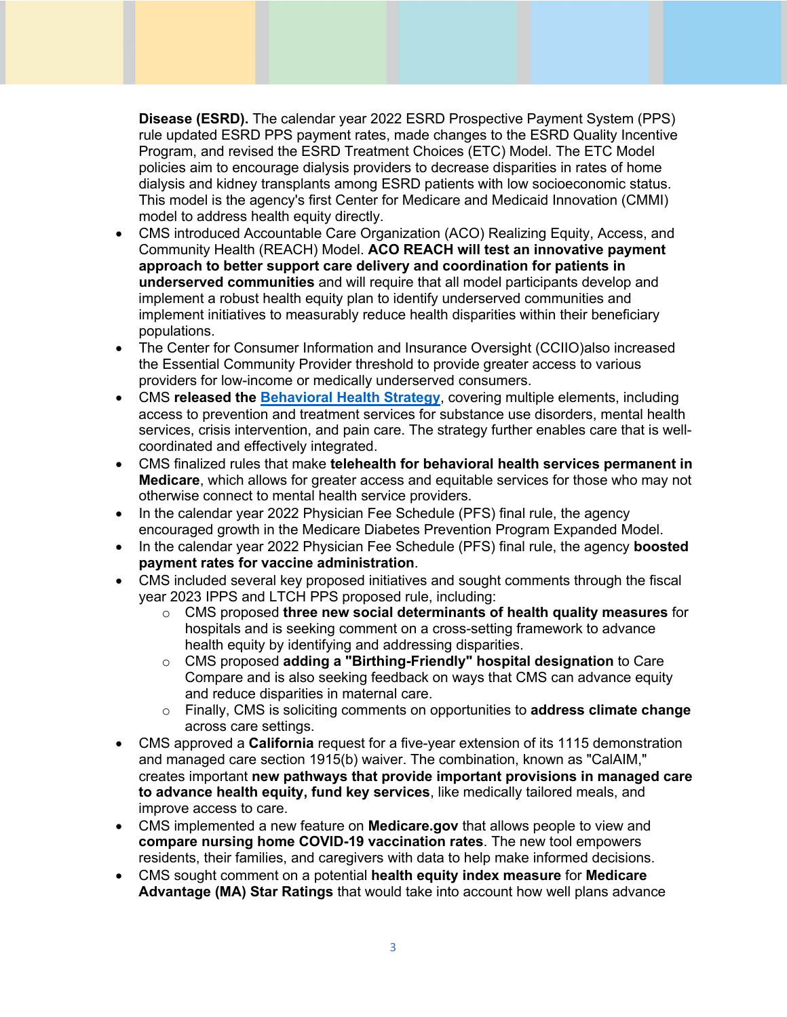**Disease (ESRD).** The calendar year 2022 ESRD Prospective Payment System (PPS) rule updated ESRD PPS payment rates, made changes to the ESRD Quality Incentive Program, and revised the ESRD Treatment Choices (ETC) Model. The ETC Model policies aim to encourage dialysis providers to decrease disparities in rates of home dialysis and kidney transplants among ESRD patients with low socioeconomic status. This model is the agency's first Center for Medicare and Medicaid Innovation (CMMI) model to address health equity directly.

- CMS introduced Accountable Care Organization (ACO) Realizing Equity, Access, and Community Health (REACH) Model. **ACO REACH will test an innovative payment approach to better support care delivery and coordination for patients in underserved communities** and will require that all model participants develop and implement a robust health equity plan to identify underserved communities and implement initiatives to measurably reduce health disparities within their beneficiary populations.
- The Center for Consumer Information and Insurance Oversight (CCIIO)also increased the Essential Community Provider threshold to provide greater access to various providers for low-income or medically underserved consumers.
- CMS **released the [Behavioral Health Strategy](https://www.cms.gov/cms-behavioral-health-strategy)**, covering multiple elements, including access to prevention and treatment services for substance use disorders, mental health services, crisis intervention, and pain care. The strategy further enables care that is wellcoordinated and effectively integrated.
- CMS finalized rules that make **telehealth for behavioral health services permanent in Medicare**, which allows for greater access and equitable services for those who may not otherwise connect to mental health service providers.
- In the calendar year 2022 Physician Fee Schedule (PFS) final rule, the agency encouraged growth in the Medicare Diabetes Prevention Program Expanded Model.
- In the calendar year 2022 Physician Fee Schedule (PFS) final rule, the agency **boosted payment rates for vaccine administration**.
- CMS included several key proposed initiatives and sought comments through the fiscal year 2023 IPPS and LTCH PPS proposed rule, including:
	- o CMS proposed **three new social determinants of health quality measures** for hospitals and is seeking comment on a cross-setting framework to advance health equity by identifying and addressing disparities.
	- o CMS proposed **adding a "Birthing-Friendly" hospital designation** to Care Compare and is also seeking feedback on ways that CMS can advance equity and reduce disparities in maternal care.
	- o Finally, CMS is soliciting comments on opportunities to **address climate change** across care settings.
- CMS approved a **California** request for a five-year extension of its 1115 demonstration and managed care section 1915(b) waiver. The combination, known as "CalAIM," creates important **new pathways that provide important provisions in managed care to advance health equity, fund key services**, like medically tailored meals, and improve access to care.
- CMS implemented a new feature on **[Medicare.gov](https://Medicare.gov)** that allows people to view and **compare nursing home COVID-19 vaccination rates**. The new tool empowers residents, their families, and caregivers with data to help make informed decisions.
- CMS sought comment on a potential **health equity index measure** for **Medicare Advantage (MA) Star Ratings** that would take into account how well plans advance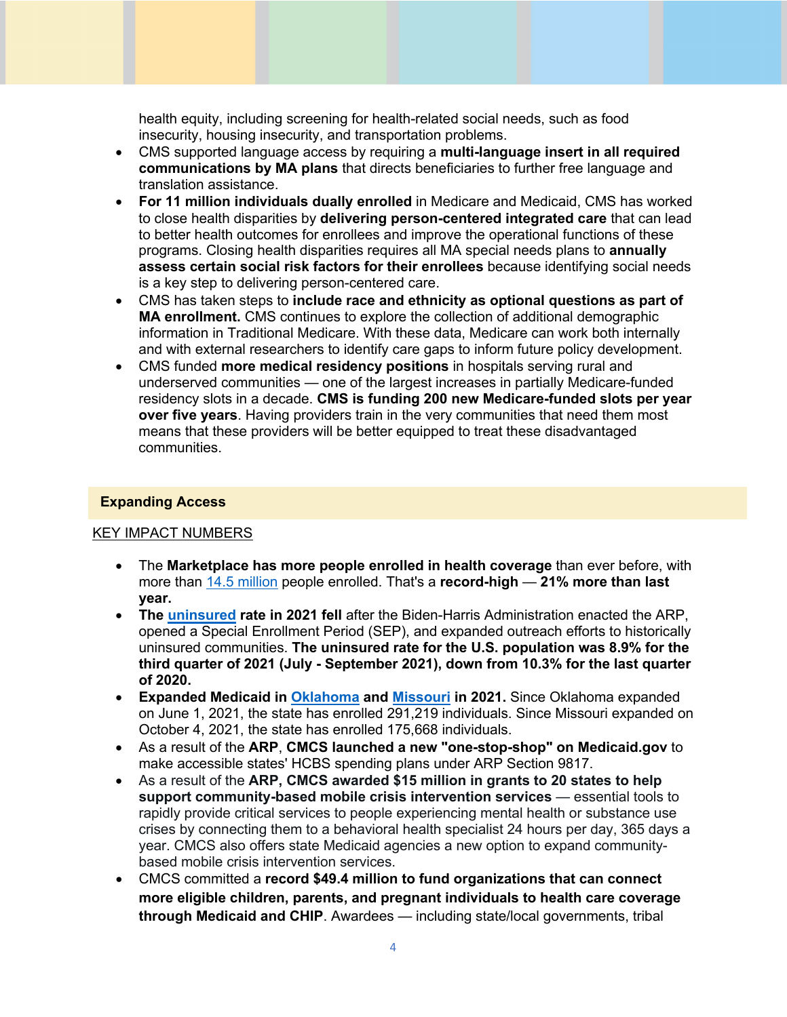health equity, including screening for health-related social needs, such as food insecurity, housing insecurity, and transportation problems.

- CMS supported language access by requiring a **multi-language insert in all required communications by MA plans** that directs beneficiaries to further free language and translation assistance.
- **For 11 million individuals dually enrolled** in Medicare and Medicaid, CMS has worked to close health disparities by **delivering person-centered integrated care** that can lead to better health outcomes for enrollees and improve the operational functions of these programs. Closing health disparities requires all MA special needs plans to **annually assess certain social risk factors for their enrollees** because identifying social needs is a key step to delivering person-centered care.
- CMS has taken steps to **include race and ethnicity as optional questions as part of MA enrollment.** CMS continues to explore the collection of additional demographic information in Traditional Medicare. With these data, Medicare can work both internally and with external researchers to identify care gaps to inform future policy development.
- CMS funded **more medical residency positions** in hospitals serving rural and underserved communities — one of the largest increases in partially Medicare-funded residency slots in a decade. **CMS is funding 200 new Medicare-funded slots per year over five years**. Having providers train in the very communities that need them most means that these providers will be better equipped to treat these disadvantaged communities.

### **Expanding Access**

#### KEY IMPACT NUMBERS

- The **Marketplace has more people enrolled in health coverage** than ever before, with more than [14.5 million p](https://www.cms.gov/files/document/state-anniversary.pdf)eople enrolled. That's a **record-high** — **21% more than last year.**
- **The [uninsured r](https://www.cms.gov/files/document/state-anniversary.pdf)ate in 2021 fell** after the Biden-Harris Administration enacted the ARP, opened a Special Enrollment Period (SEP), and expanded outreach efforts to historically uninsured communities. **The uninsured rate for the U.S. population was 8.9% for the third quarter of 2021 (July - September 2021), down from 10.3% for the last quarter of 2020.**
- **Expanded Medicaid in [Oklahoma a](https://oklahoma.gov/ohca/expansion.html)nd [Missouri](https://dss.mo.gov/mis/clcounter/) in 2021.** Since Oklahoma expanded on June 1, 2021, the state has enrolled 291,219 individuals. Since Missouri expanded on October 4, 2021, the state has enrolled 175,668 individuals.
- As a result of the **ARP**, **CMCS launched a new "one-stop-shop" on [Medicaid.gov](https://Medicaid.gov)** to make accessible states' HCBS spending plans under ARP Section 9817.
- As a result of the **ARP, CMCS awarded \$15 million in grants to 20 states to help support community-based mobile crisis intervention services** — essential tools to rapidly provide critical services to people experiencing mental health or substance use crises by connecting them to a behavioral health specialist 24 hours per day, 365 days a year. CMCS also offers state Medicaid agencies a new option to expand communitybased mobile crisis intervention services.
- CMCS committed a **record \$49.4 million to fund organizations that can connect more eligible children, parents, and pregnant individuals to health care coverage through Medicaid and CHIP**. Awardees — including state/local governments, tribal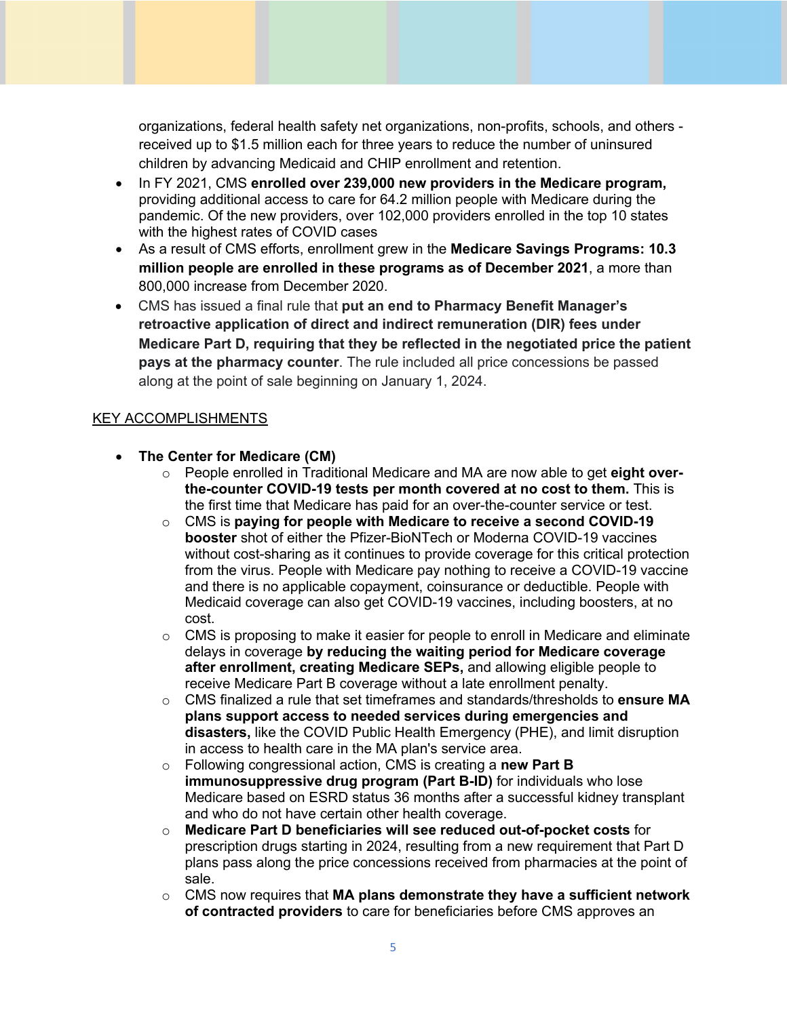organizations, federal health safety net organizations, non-profits, schools, and others received up to \$1.5 million each for three years to reduce the number of uninsured children by advancing Medicaid and CHIP enrollment and retention.

- In FY 2021, CMS **enrolled over 239,000 new providers in the Medicare program,** providing additional access to care for 64.2 million people with Medicare during the pandemic. Of the new providers, over 102,000 providers enrolled in the top 10 states with the highest rates of COVID cases
- As a result of CMS efforts, enrollment grew in the **Medicare Savings Programs: 10.3 million people are enrolled in these programs as of December 2021**, a more than 800,000 increase from December 2020.
- CMS has i ssued a final rule that **put an end to Pharmacy Benefit Manager's retroactive application of direct and indirect remuneration (DIR) fees under Medicare Part D, requiring that they be reflected in the negotiated price the patient pays at the pharmacy counter**. The rule included all price concessions be passed along at the point of sale beginning on January 1, 2024.

- **The Center for Medicare (CM)**
	- o People enrolled in Traditional Medicare and MA are now able to get **eight overthe-counter COVID-19 tests per month covered at no cost to them.** This is the first time that Medicare has paid for an over-the-counter service or test.
	- o CMS is **paying for people with Medicare to receive a second COVID-19 booster** shot of either the Pfizer-BioNTech or Moderna COVID-19 vaccines without cost-sharing as it continues to provide coverage for this critical protection from the virus. People with Medicare pay nothing to receive a COVID-19 vaccine and there is no applicable copayment, coinsurance or deductible. People with Medicaid coverage can also get COVID-19 vaccines, including boosters, at no cost.
	- $\circ$  CMS is proposing to make it easier for people to enroll in Medicare and eliminate delays in coverage **by reducing the waiting period for Medicare coverage after enrollment, creating Medicare SEPs,** and allowing eligible people to receive Medicare Part B coverage without a late enrollment penalty.
	- o CMS finalized a rule that set timeframes and standards/thresholds to **ensure MA plans support access to needed services during emergencies and disasters,** like the COVID Public Health Emergency (PHE), and limit disruption in access to health care in the MA plan's service area.
	- o Following congressional action, CMS is creating a **new Part B immunosuppressive drug program (Part B-ID)** for individuals who lose Medicare based on ESRD status 36 months after a successful kidney transplant and who do not have certain other health coverage.
	- o **Medicare Part D beneficiaries will see reduced out-of-pocket costs** for prescription drugs starting in 2024, resulting from a new requirement that Part D plans pass along the price concessions received from pharmacies at the point of sale.
	- o CMS now requires that **MA plans demonstrate they have a sufficient network of contracted providers** to care for beneficiaries before CMS approves an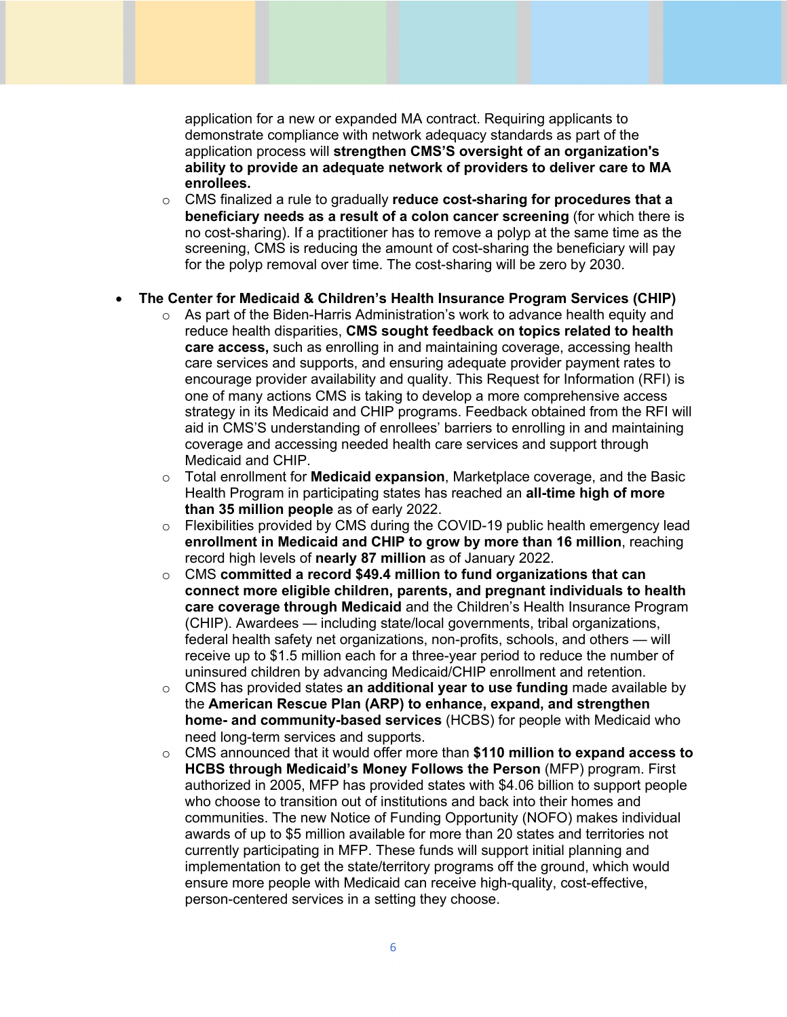application for a new or expanded MA contract. Requiring applicants to demonstrate compliance with network adequacy standards as part of the  application process will **strengthen CMS'S oversight of an organization's ability to provide an adequate network of providers to deliver care to MA enrollees.** 

 o CMS finalized a rule to gradually **reduce cost-sharing for procedures that a beneficiary needs as a result of a colon cancer screening** (for which there is no cost-sharing). If a practitioner has to remove a polyp at the same time as the screening, CMS is reducing the amount of cost-sharing the beneficiary will pay for the polyp removal over time. The cost-sharing will be zero by 2030.

## • **The Center for Medicaid & Children's Health Insurance Program Services (CHIP)**

- $\circ$  As part of the Biden-Harris Administration's work to advance health equity and reduce health disparities, **CMS sought feedback on topics related to health** care services and supports, and ensuring adequate provider payment rates to encourage provider availability and quality. This Request for Information (RFI) is strategy in its Medicaid and CHIP programs. Feedback obtained from the RFI will aid in CMS'S understanding of enrollees' barriers to enrolling in and maintaining Medicaid and CHIP. **care access,** such as enrolling in and maintaining coverage, accessing health one of many actions CMS is taking to develop a more comprehensive access coverage and accessing needed health care services and support through
- o Total enrollment for **Medicaid expansion**, Marketplace coverage, and the Basic Health Program in participating states has reached an **all-time high of more than 35 million people** as of early 2022.
- o Flexibilities provided by CMS during the COVID-19 public health emergency lead  **enrollment in Medicaid and CHIP to grow by more than 16 million**, reaching  record high levels of **nearly 87 million** as of January 2022.
- o CMS **committed a record \$49.4 million to fund organizations that can connect more eligible children, parents, and pregnant individuals to health** (CHIP). Awardees — including state/local governments, tribal organizations, federal health safety net organizations, non-profits, schools, and others — will receive up to \$1.5 million each for a three-year period to reduce the number of uninsured children by advancing Medicaid/CHIP enrollment and retention. **care coverage through Medicaid** and the Children's Health Insurance Program
- o CMS has provided states **an additional year to use funding** made available by  the **American Rescue Plan (ARP) to enhance, expand, and strengthen home- and community-based services** (HCBS) for people with Medicaid who need long-term services and supports.
- o CMS announced that it would offer more than **\$110 million to expand access to HCBS through Medicaid's Money Follows the Person** (MFP) program. First authorized in 2005, MFP has provided states with \$4.06 billion to support people who choose to transition out of institutions and back into their homes and communities. The new Notice of Funding Opportunity (NOFO) makes individual currently participating in MFP. These funds will support initial planning and implementation to get the state/territory programs off the ground, which would awards of up to \$5 million available for more than 20 states and territories not ensure more people with Medicaid can receive high-quality, cost-effective, person-centered services in a setting they choose.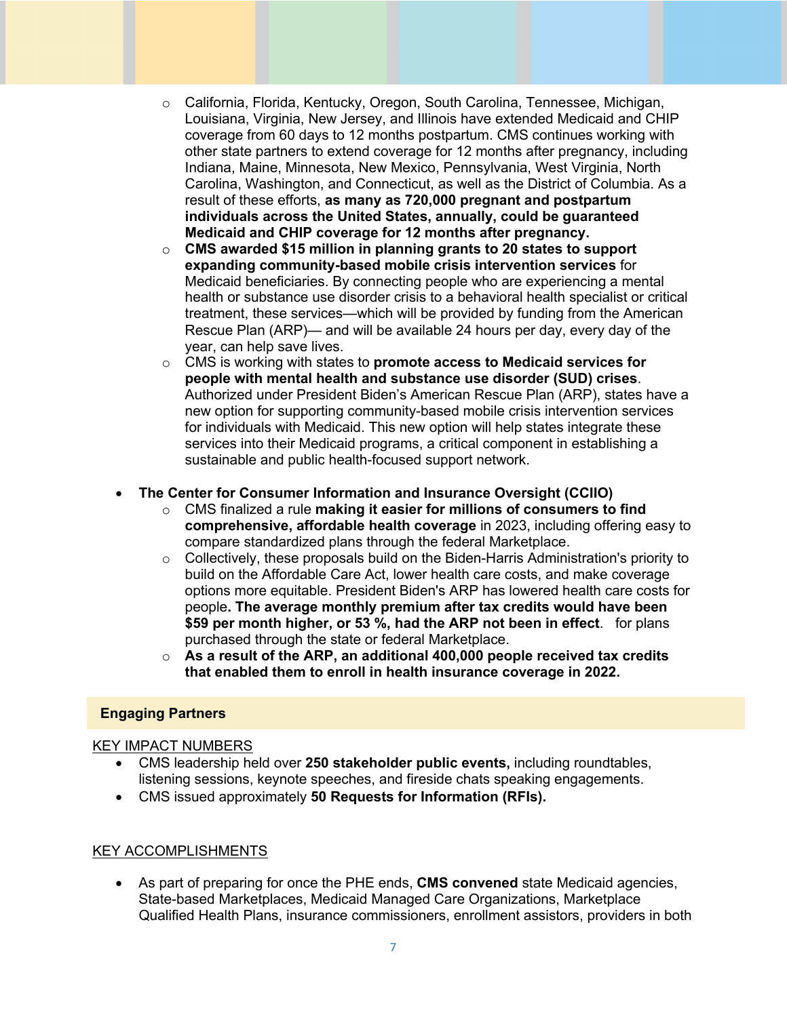- o California, Florida, Kentucky, Oregon, South Carolina, Tennessee, Michigan, Louisiana, Virginia, New Jersey, and Illinois have extended Medicaid and CHIP coverage from 60 days to 12 months postpartum. CMS continues working with other state partners to extend coverage for 12 months after pregnancy, including Carolina, Washington, and Connecticut, as well as the District of Columbia. As a  result of these efforts, **as many as 720,000 pregnant and postpartum Medicaid and CHIP coverage for 12 months after pregnancy.** Indiana, Maine, Minnesota, New Mexico, Pennsylvania, West Virginia, North **individuals across the United States, annually, could be guaranteed**
- o **CMS awarded \$15 million in planning grants to 20 states to support expanding community-based mobile crisis intervention services** for Medicaid beneficiaries. By connecting people who are experiencing a mental health or substance use disorder crisis to a behavioral health specialist or critical treatment, these services—which will be provided by funding from the American Rescue Plan (ARP)— and will be available 24 hours per day, every day of the year, can help save lives.
- o CMS is working with states to **promote access to Medicaid services for people with mental health and substance use disorder (SUD) crises**. Authorized under President Biden's American Rescue Plan (ARP), states have a new option for supporting community-based mobile crisis intervention services for individuals with Medicaid. This new option will help states integrate these services into their Medicaid programs, a critical component in establishing a sustainable and public health-focused support network.

### • **The Center for Consumer Information and Insurance Oversight (CCIIO)**

- o CMS finalized a rule **making it easier for millions of consumers to find comprehensive, affordable health coverage** in 2023, including offering easy to compare standardized plans through the federal Marketplace.
- $\circ$  Collectively, these proposals build on the Biden-Harris Administration's priority to build on the Affordable Care Act, lower health care costs, and make coverage options more equitable. President Biden's ARP has lowered health care costs for  people**. The average monthly premium after tax credits would have been \$59 per month higher, or 53 %, had the ARP not been in effect**. for plans purchased through the state or federal Marketplace.
- $\circ$  As a result of the ARP, an additional 400,000 people received tax credits **that enabled them to enroll in health insurance coverage in 2022.**

#### **Engaging Partners**

#### KEY IMPACT NUMBERS

- • CMS leadership held over **250 stakeholder public events,** including roundtables, listening sessions, keynote speeches, and fireside chats speaking engagements.
- CMS issued approximately **50 Requests for Information (RFIs).**

#### KEY ACCOMPLISHMENTS

 • As part of preparing for once the PHE ends, **CMS convened** state Medicaid agencies, Qualified Health Plans, insurance commissioners, enrollment assistors, providers in both State-based Marketplaces, Medicaid Managed Care Organizations, Marketplace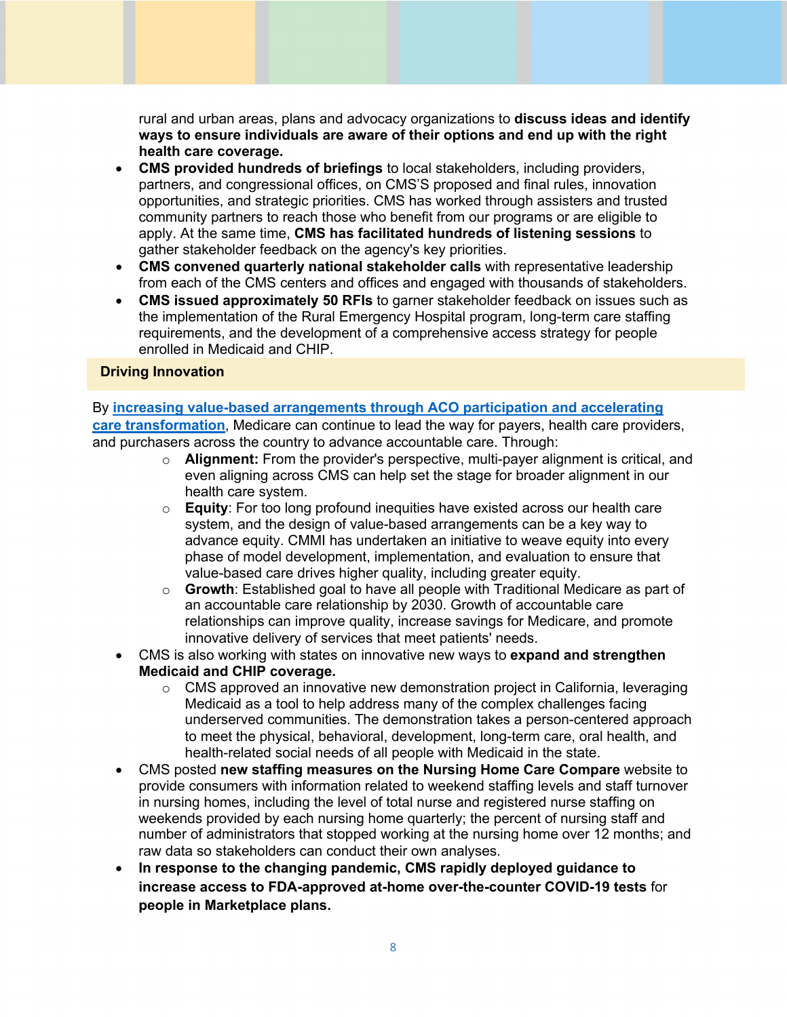rural and urban areas, plans and advocacy organizations to **discuss ideas and identify ways to ensure individuals are aware of their options and end up with the right health care coverage.** 

- **CMS provided hundreds of briefings** to local stakeholders, including providers, partners, and congressional offices, on CMS'S proposed and final rules, innovation opportunities, and strategic priorities. CMS has worked through assisters and trusted community partners to reach those who benefit from our programs or are eligible to apply. At the same time, **CMS has facilitated hundreds of listening sessions** to gather stakeholder feedback on the agency's key priorities.
- **CMS convened quarterly national stakeholder calls** with representative leadership from each of the CMS centers and offices and engaged with thousands of stakeholders.
- **CMS issued approximately 50 RFIs** to garner stakeholder feedback on issues such as the implementation of the Rural Emergency Hospital program, long-term care staffing requirements, and the development of a comprehensive access strategy for people  enrolled in Medicaid and CHIP.

### **Driving Innovation**

## By **[increasing value-based arrangements through ACO participation and accelerating](https://www.nejm.org/doi/full/10.1056/NEJMp2202991)  care transformation**, Medicare can continue to lead the way for payers, health care providers, and purchasers across the country to advance accountable care. Through:

- o **Alignment:** From the provider's perspective, multi-payer alignment is critical, and even aligning across CMS can help set the stage for broader alignment in our health care system.
- o **Equity**: For too long profound inequities have existed across our health care system, and the design of value-based arrangements can be a key way to advance equity. CMMI has undertaken an initiative to weave equity into every phase of model development, implementation, and evaluation to ensure that value-based care drives higher quality, including greater equity.
- o **Growth**: Established goal to have all people with Traditional Medicare as part of an accountable care relationship by 2030. Growth of accountable care relationships can improve quality, increase savings for Medicare, and promote innovative delivery of services that meet patients' needs.
- CMS is also working with states on innovative new ways to **expand and strengthen Medicaid and CHIP coverage.** 
	- $\circ$  CMS approved an innovative new demonstration project in California, leveraging Medicaid as a tool to help address many of the complex challenges facing underserved communities. The demonstration takes a person-centered approach to meet the physical, behavioral, development, long-term care, oral health, and health-related social needs of all people with Medicaid in the state.
- CMS posted **new staffing measures on the Nursing Home Care Compare** website to provide consumers with information related to weekend staffing levels and staff turnover in nursing homes, including the level of total nurse and registered nurse staffing on weekends provided by each nursing home quarterly; the percent of nursing staff and number of administrators that stopped working at the nursing home over 12 months; and raw data so stakeholders can conduct their own analyses.
- **In response to the changing pandemic, CMS rapidly deployed guidance to increase access to FDA-approved at-home over-the-counter COVID-19 tests** for **people in Marketplace plans.**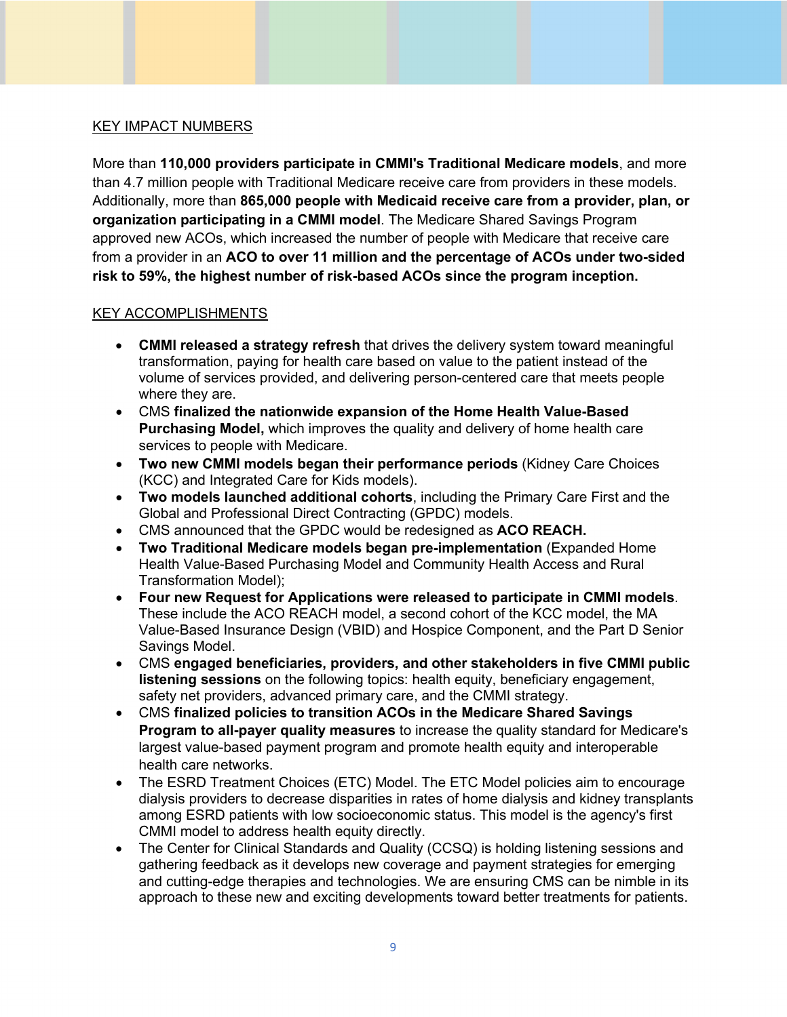### KEY IMPACT NUMBERS

 More than **110,000 providers participate in CMMI's Traditional Medicare models**, and more than 4.7 million people with Traditional Medicare receive care from providers in these models. Additionally, more than **865,000 people with Medicaid receive care from a provider, plan, or organization participating in a CMMI model**. The Medicare Shared Savings Program approved new ACOs, which increased the number of people with Medicare that receive care  from a provider in an **ACO to over 11 million and the percentage of ACOs under two-sided risk to 59%, the highest number of risk-based ACOs since the program inception.** 

- **CMMI released a strategy refresh** that drives the delivery system toward meaningful transformation, paying for health care based on value to the patient instead of the where they are. volume of services provided, and delivering person-centered care that meets people
- **Purchasing Model,** which improves the quality and delivery of home health care • CMS **finalized the nationwide expansion of the Home Health Value-Based** services to people with Medicare.
- **Two new CMMI models began their performance periods** (Kidney Care Choices (KCC) and Integrated Care for Kids models).
- Global and Professional Direct Contracting (GPDC) models. • **Two models launched additional cohorts**, including the Primary Care First and the
- CMS announced that the GPDC would be redesigned as **ACO REACH.**
- **Two Traditional Medicare models began pre-implementation** (Expanded Home Health Value-Based Purchasing Model and Community Health Access and Rural Transformation Model);
- **Four new Request for Applications were released to participate in CMMI models**. These include the ACO REACH model, a second cohort of the KCC model, the MA Value-Based Insurance Design (VBID) and Hospice Component, and the Part D Senior Savings Model.
- CMS **engaged beneficiaries, providers, and other stakeholders in five CMMI public** safety net providers, advanced primary care, and the CMMI strategy. **listening sessions** on the following topics: health equity, beneficiary engagement,
- **Program to all-payer quality measures** to increase the quality standard for Medicare's largest value-based payment program and promote health equity and interoperable health care networks. • CMS **finalized policies to transition ACOs in the Medicare Shared Savings**
- • The ESRD Treatment Choices (ETC) Model. The ETC Model policies aim to encourage among ESRD patients with low socioeconomic status. This model is the agency's first CMMI model to address health equity directly. dialysis providers to decrease disparities in rates of home dialysis and kidney transplants
- • The Center for Clinical Standards and Quality (CCSQ) is holding listening sessions and and cutting-edge therapies and technologies. We are ensuring CMS can be nimble in its gathering feedback as it develops new coverage and payment strategies for emerging approach to these new and exciting developments toward better treatments for patients.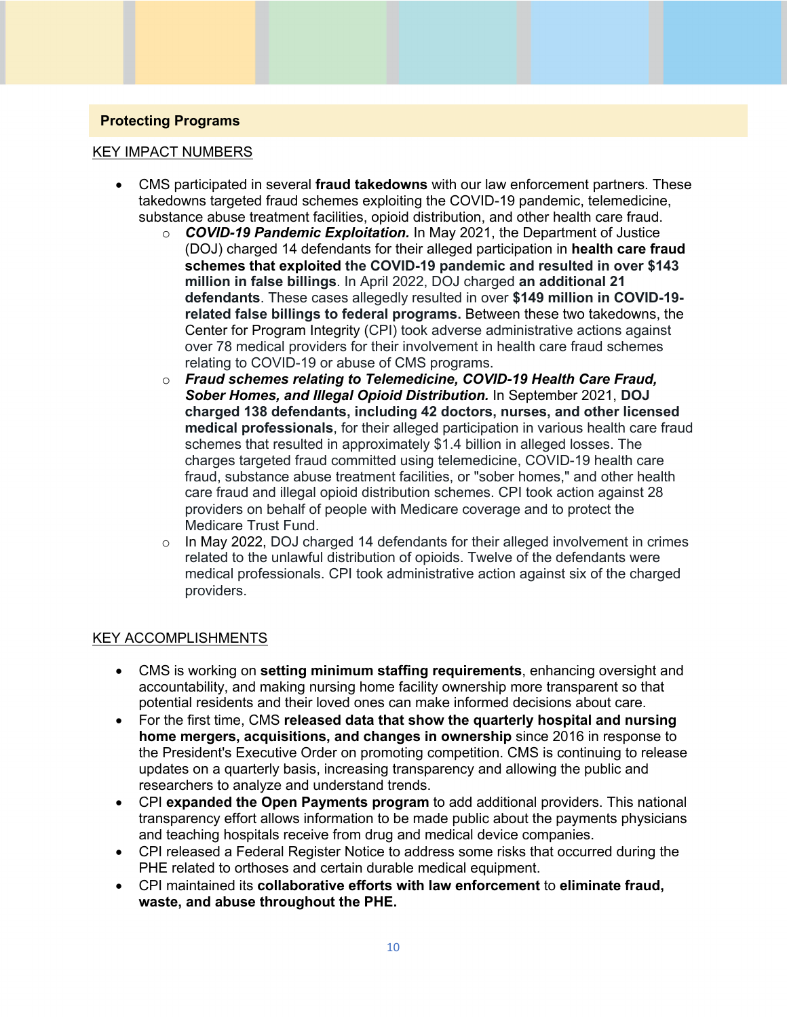# **Protecting Programs**

### KEY IMPACT NUMBERS

- CMS participated in several **fraud takedowns** with our law enforcement partners. These takedowns targeted fraud schemes exploiting the COVID-19 pandemic, telemedicine, substance abuse treatment facilities, opioid distribution, and other health care fraud.
	- o *COVID-19 Pandemic Exploitation.* In May 2021, the Department of Justice (DOJ) charged 14 defendants for their alleged participation in **health care fraud schemes that exploited the COVID-19 pandemic and resulted in over \$143 million in false billings**. In April 2022, DOJ charged **an additional 21 defendants**. These cases allegedly resulted in over **\$149 million in COVID-19 related false billings to federal programs.** Between these two takedowns, the Center for Program Integrity (CPI) took adverse administrative actions against over 78 medical providers for their involvement in health care fraud schemes relating to COVID-19 or abuse of CMS programs.
	- o *Fraud schemes relating to Telemedicine, COVID-19 Health Care Fraud, Sober Homes, and Illegal Opioid Distribution.* In September 2021, **DOJ charged 138 defendants, including 42 doctors, nurses, and other licensed medical professionals**, for their alleged participation in various health care fraud schemes that resulted in approximately \$1.4 billion in alleged losses. The charges targeted fraud committed using telemedicine, COVID-19 health care fraud, substance abuse treatment facilities, or "sober homes," and other health care fraud and illegal opioid distribution schemes. CPI took action against 28 providers on behalf of people with Medicare coverage and to protect the Medicare Trust Fund.
	- $\circ$  In May 2022, DOJ charged 14 defendants for their alleged involvement in crimes related to the unlawful distribution of opioids. Twelve of the defendants were medical professionals. CPI took administrative action against six of the charged providers.

- • CMS is working on **setting minimum staffing requirements**, enhancing oversight and accountability, and making nursing home facility ownership more transparent so that potential residents and their loved ones can make informed decisions about care.
- • For the first time, CMS **released data that show the quarterly hospital and nursing home mergers, acquisitions, and changes in ownership** since 2016 in response to the President's Executive Order on promoting competition. CMS is continuing to release updates on a quarterly basis, increasing transparency and allowing the public and researchers to analyze and understand trends.
- • CPI **expanded the Open Payments program** to add additional providers. This national transparency effort allows information to be made public about the payments physicians and teaching hospitals receive from drug and medical device companies.
- • CPI released a Federal Register Notice to address some risks that occurred during the PHE related to orthoses and certain durable medical equipment.
- CPI maintained its **collaborative efforts with law enforcement** to **eliminate fraud, waste, and abuse throughout the PHE.**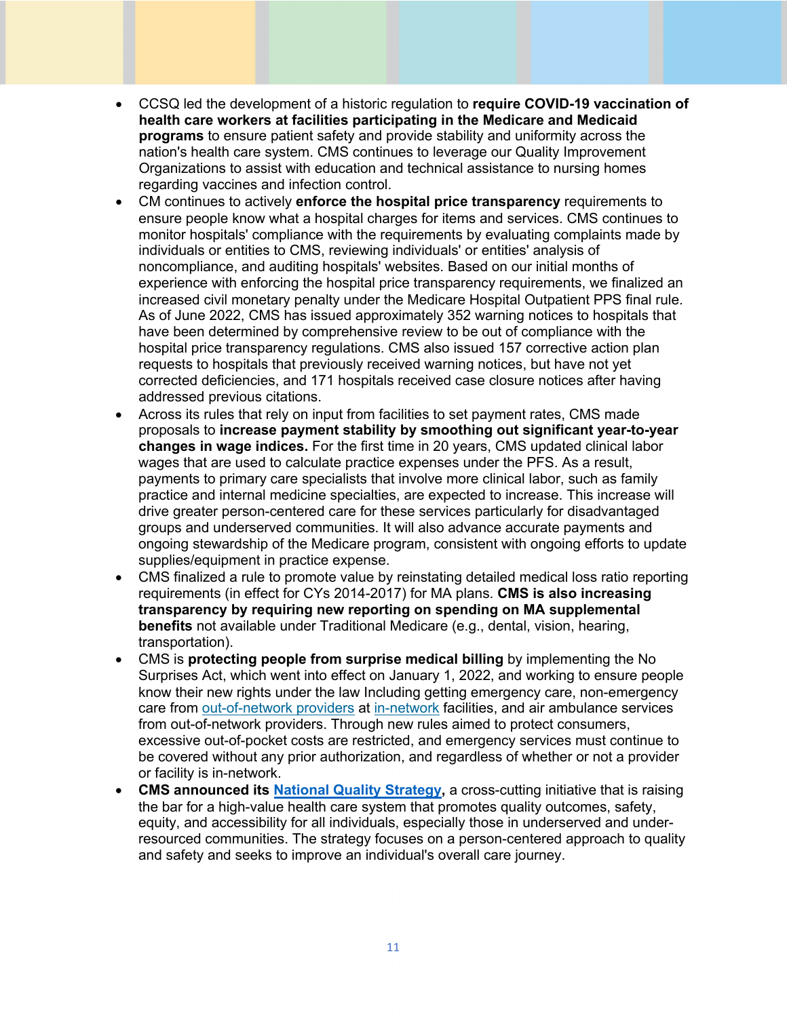- CCSQ led the development of a historic regulation to **require COVID-19 vaccination of health care workers at facilities participating in the Medicare and Medicaid programs** to ensure patient safety and provide stability and uniformity across the nation's health care system. CMS continues to leverage our Quality Improvement Organizations to assist with education and technical assistance to nursing homes regarding vaccines and infection control.
- CM continues to actively **enforce the hospital price transparency** requirements to ensure people know what a hospital charges for items and services. CMS continues to monitor hospitals' compliance with the requirements by evaluating complaints made by individuals or entities to CMS, reviewing individuals' or entities' analysis of noncompliance, and auditing hospitals' websites. Based on our initial months of experience with enforcing the hospital price transparency requirements, we finalized an increased civil monetary penalty under the Medicare Hospital Outpatient PPS final rule. As of June 2022, CMS has issued approximately 352 warning notices to hospitals that have been determined by comprehensive review to be out of compliance with the hospital price transparency regulations. CMS also issued 157 corrective action plan requests to hospitals that previously received warning notices, but have not yet corrected deficiencies, and 171 hospitals received case closure notices after having addressed previous citations.
- Across its rules that rely on input from facilities to set payment rates, CMS made proposals to **increase payment stability by smoothing out significant year-to-year changes in wage indices.** For the first time in 20 years, CMS updated clinical labor wages that are used to calculate practice expenses under the PFS. As a result, payments to primary care specialists that involve more clinical labor, such as family practice and internal medicine specialties, are expected to increase. This increase will drive greater person-centered care for these services particularly for disadvantaged groups and underserved communities. It will also advance accurate payments and ongoing stewardship of the Medicare program, consistent with ongoing efforts to update supplies/equipment in practice expense.
- CMS finalized a rule to promote value by reinstating detailed medical loss ratio reporting requirements (in effect for CYs 2014-2017) for MA plans. **CMS is also increasing transparency by requiring new reporting on spending on MA supplemental benefits** not available under Traditional Medicare (e.g., dental, vision, hearing, transportation).
- CMS is **protecting people from surprise medical billing** by implementing the No Surprises Act, which went into effect on January 1, 2022, and working to ensure people know their new rights under the law Including getting emergency care, non-emergency care fro[m out-of-network providers a](https://www.cms.gov/glossary/out-network-providers)t [in-network f](https://www.cms.gov/glossary/network-providers)acilities, and air ambulance services from out-of-network providers. Through new rules aimed to protect consumers, excessive out-of-pocket costs are restricted, and emergency services must continue to be covered without any prior authorization, and regardless of whether or not a provider or facility is in-network.
- **CMS announced its [National Quality Strategy,](https://www.cms.gov/files/document/cms-national-quality-strategy-fact-sheet.pdf)** a cross-cutting initiative that is raising the bar for a high-value health care system that promotes quality outcomes, safety, equity, and accessibility for all individuals, especially those in underserved and underresourced communities. The strategy focuses on a person-centered approach to quality and safety and seeks to improve an individual's overall care journey.